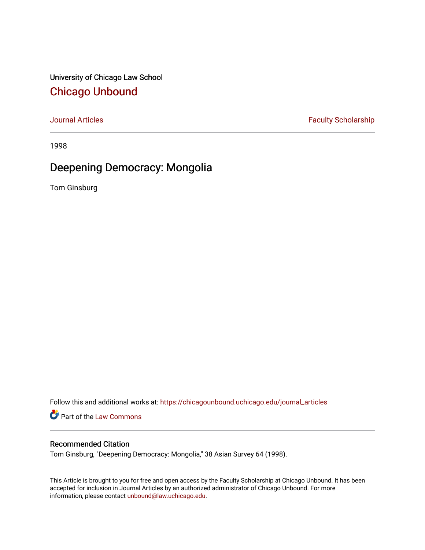University of Chicago Law School [Chicago Unbound](https://chicagounbound.uchicago.edu/)

[Journal Articles](https://chicagounbound.uchicago.edu/journal_articles) **Faculty Scholarship Faculty Scholarship** 

1998

# Deepening Democracy: Mongolia

Tom Ginsburg

Follow this and additional works at: [https://chicagounbound.uchicago.edu/journal\\_articles](https://chicagounbound.uchicago.edu/journal_articles?utm_source=chicagounbound.uchicago.edu%2Fjournal_articles%2F4105&utm_medium=PDF&utm_campaign=PDFCoverPages) 

Part of the [Law Commons](http://network.bepress.com/hgg/discipline/578?utm_source=chicagounbound.uchicago.edu%2Fjournal_articles%2F4105&utm_medium=PDF&utm_campaign=PDFCoverPages)

# Recommended Citation

Tom Ginsburg, "Deepening Democracy: Mongolia," 38 Asian Survey 64 (1998).

This Article is brought to you for free and open access by the Faculty Scholarship at Chicago Unbound. It has been accepted for inclusion in Journal Articles by an authorized administrator of Chicago Unbound. For more information, please contact [unbound@law.uchicago.edu](mailto:unbound@law.uchicago.edu).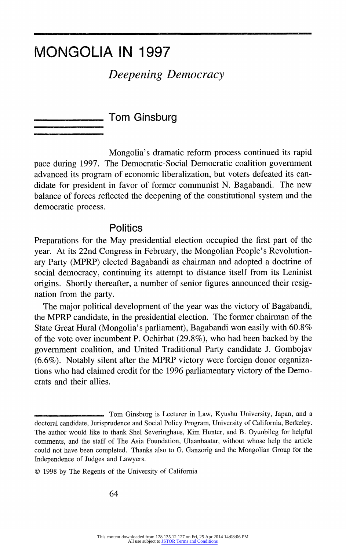# MONGOLIA IN 1997

# Deepening Democracy

**Tom Ginsburg** 

Mongolia's dramatic reform process continued its rapid pace during 1997. The Democratic-Social Democratic coalition government advanced its program of economic liberalization, but voters defeated its candidate for president in favor of former communist N. Bagabandi. The new balance of forces reflected the deepening of the constitutional system and the democratic process.

#### **Politics**

Preparations for the May presidential election occupied the first part of the year. At its 22nd Congress in February, the Mongolian People's Revolutionary Party (MPRP) elected Bagabandi as chairman and adopted a doctrine of social democracy, continuing its attempt to distance itself from its Leninist origins. Shortly thereafter, a number of senior figures announced their resignation from the party.

The major political development of the year was the victory of Bagabandi, the MPRP candidate, in the presidential election. The former chairman of the State Great Hural (Mongolia's parliament), Bagabandi won easily with 60.8% of the vote over incumbent P. Ochirbat (29.8%), who had been backed by the government coalition, and United Traditional Party candidate J. Gombojav (6.6%). Notably silent after the MPRP victory were foreign donor organizations who had claimed credit for the 1996 parliamentary victory of the Democrats and their allies.

Tom Ginsburg is Lecturer in Law, Kyushu University, Japan, and a doctoral candidate, Jurisprudence and Social Policy Program, University of California, Berkeley. The author would like to thank Shel Severinghaus, Kim Hunter, and B. Oyunbileg for helpful comments, and the staff of The Asia Foundation, Ulaanbaatar, without whose help the article could not have been completed. Thanks also to G. Ganzorig and the Mongolian Group for the Independence of Judges and Lawyers.

<sup>? 1998</sup> by The Regents of the University of California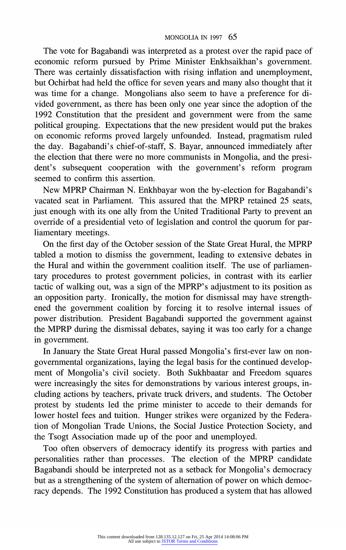#### MONGOLIA IN 1997 65

The vote for Bagabandi was interpreted as a protest over the rapid pace of economic reform pursued by Prime Minister Enkhsaikhan's government. There was certainly dissatisfaction with rising inflation and unemployment, but Ochirbat had held the office for seven years and many also thought that it was time for a change. Mongolians also seem to have a preference for divided government, as there has been only one year since the adoption of the 1992 Constitution that the president and government were from the same political grouping. Expectations that the new president would put the brakes on economic reforms proved largely unfounded. Instead, pragmatism ruled the day. Bagabandi's chief-of-staff, S. Bayar, announced immediately after the election that there were no more communists in Mongolia, and the president's subsequent cooperation with the government's reform program seemed to confirm this assertion.

New MPRP Chairman N. Enkhbayar won the by-election for Bagabandi's vacated seat in Parliament. This assured that the MPRP retained 25 seats, just enough with its one ally from the United Traditional Party to prevent an override of a presidential veto of legislation and control the quorum for parliamentary meetings.

On the first day of the October session of the State Great Hural, the MPRP tabled a motion to dismiss the government, leading to extensive debates in the Hural and within the government coalition itself. The use of parliamentary procedures to protest government policies, in contrast with its earlier tactic of walking out, was a sign of the MPRP's adjustment to its position as an opposition party. Ironically, the motion for dismissal may have strengthened the government coalition by forcing it to resolve internal issues of power distribution. President Bagabandi supported the government against the MPRP during the dismissal debates, saying it was too early for a change in government.

In January the State Great Hural passed Mongolia's first-ever law on nongovernmental organizations, laying the legal basis for the continued development of Mongolia's civil society. Both Sukhbaatar and Freedom squares were increasingly the sites for demonstrations by various interest groups, including actions by teachers, private truck drivers, and students. The October protest by students led the prime minister to accede to their demands for lower hostel fees and tuition. Hunger strikes were organized by the Federation of Mongolian Trade Unions, the Social Justice Protection Society, and the Tsogt Association made up of the poor and unemployed.

Too often observers of democracy identify its progress with parties and personalities rather than processes. The election of the MPRP candidate Bagabandi should be interpreted not as a setback for Mongolia's democracy but as a strengthening of the system of alternation of power on which democracy depends. The 1992 Constitution has produced a system that has allowed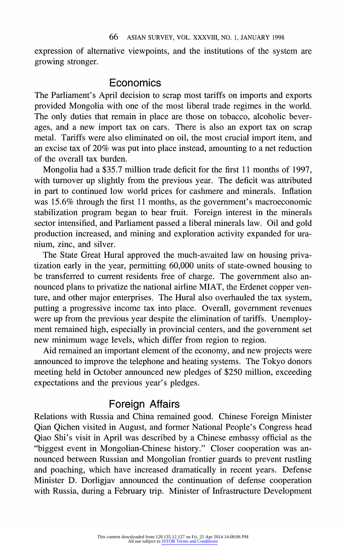expression of alternative viewpoints, and the institutions of the system are growing stronger.

### Economics

The Parliament's April decision to scrap most tariffs on imports and exports provided Mongolia with one of the most liberal trade regimes in the world. The only duties that remain in place are those on tobacco, alcoholic beverages, and a new import tax on cars. There is also an export tax on scrap metal. Tariffs were also eliminated on oil, the most crucial import item, and an excise tax of 20% was put into place instead, amounting to a net reduction of the overall tax burden.

Mongolia had a \$35.7 million trade deficit for the first 11 months of 1997, with turnover up slightly from the previous year. The deficit was attributed in part to continued low world prices for cashmere and minerals. Inflation was 15.6% through the first 11 months, as the government's macroeconomic stabilization program began to bear fruit. Foreign interest in the minerals sector intensified, and Parliament passed a liberal minerals law. Oil and gold production increased, and mining and exploration activity expanded for uranium, zinc, and silver.

The State Great Hural approved the much-awaited law on housing privatization early in the year, permitting 60,000 units of state-owned housing to be transferred to current residents free of charge. The government also announced plans to privatize the national airline MIAT, the Erdenet copper venture, and other major enterprises. The Hural also overhauled the tax system, putting a progressive income tax into place. Overall, government revenues were up from the previous year despite the elimination of tariffs. Unemployment remained high, especially in provincial centers, and the government set new minimum wage levels, which differ from region to region.

Aid remained an important element of the economy, and new projects were announced to improve the telephone and heating systems. The Tokyo donors meeting held in October announced new pledges of \$250 million, exceeding expectations and the previous year's pledges.

# Foreign Affairs

Relations with Russia and China remained good. Chinese Foreign Minister Qian Qichen visited in August, and former National People's Congress head Qiao Shi's visit in April was described by a Chinese embassy official as the "biggest event in Mongolian-Chinese history." Closer cooperation was announced between Russian and Mongolian frontier guards to prevent rustling and poaching, which have increased dramatically in recent years. Defense Minister D. Dorligjav announced the continuation of defense cooperation with Russia, during a February trip. Minister of Infrastructure Development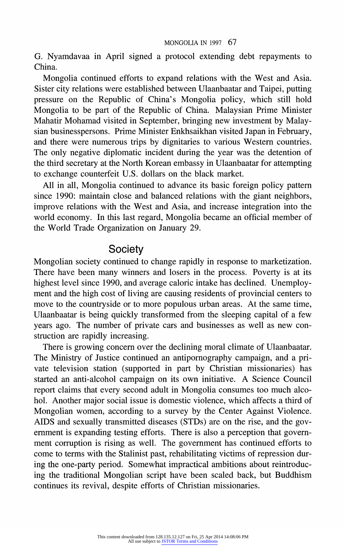#### MONGOLIA IN 1997 67

G. Nyamdavaa in April signed a protocol extending debt repayments to China.

Mongolia continued efforts to expand relations with the West and Asia. Sister city relations were established between Ulaanbaatar and Taipei, putting pressure on the Republic of China's Mongolia policy, which still hold Mongolia to be part of the Republic of China. Malaysian Prime Minister Mahatir Mohamad visited in September, bringing new investment by Malaysian businesspersons. Prime Minister Enkhsaikhan visited Japan in February, and there were numerous trips by dignitaries to various Western countries. The only negative diplomatic incident during the year was the detention of the third secretary at the North Korean embassy in Ulaanbaatar for attempting to exchange counterfeit U.S. dollars on the black market.

All in all, Mongolia continued to advance its basic foreign policy pattern since 1990: maintain close and balanced relations with the giant neighbors, improve relations with the West and Asia, and increase integration into the world economy. In this last regard, Mongolia became an official member of the World Trade Organization on January 29.

## **Society**

Mongolian society continued to change rapidly in response to marketization. There have been many winners and losers in the process. Poverty is at its highest level since 1990, and average caloric intake has declined. Unemployment and the high cost of living are causing residents of provincial centers to move to the countryside or to more populous urban areas. At the same time, Ulaanbaatar is being quickly transformed from the sleeping capital of a few years ago. The number of private cars and businesses as well as new construction are rapidly increasing.

There is growing concern over the declining moral climate of Ulaanbaatar. The Ministry of Justice continued an antipornography campaign, and a private television station (supported in part by Christian missionaries) has started an anti-alcohol campaign on its own initiative. A Science Council report claims that every second adult in Mongolia consumes too much alcohol. Another major social issue is domestic violence, which affects athird of Mongolian women, according to a survey by the Center Against Violence. AIDS and sexually transmitted diseases (STDs) are on the rise, and the government is expanding testing efforts. There is also a perception that government corruption is rising as well. The government has continued efforts to come to terms with the Stalinist past, rehabilitating victims of repression during the one-party period. Somewhat impractical ambitions about reintroducing the traditional Mongolian script have been scaled back, but Buddhism continues its revival, despite efforts of Christian missionaries.